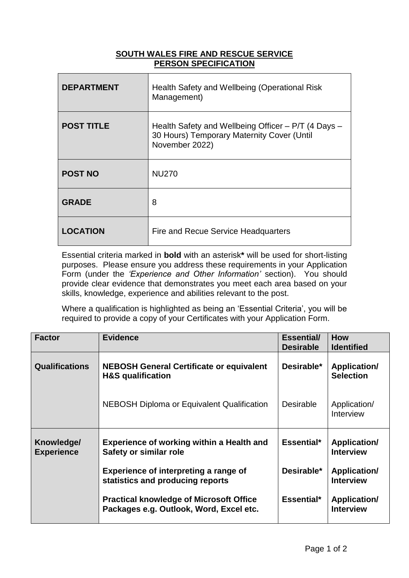## **SOUTH WALES FIRE AND RESCUE SERVICE PERSON SPECIFICATION**

| <b>DEPARTMENT</b> | Health Safety and Wellbeing (Operational Risk<br>Management)                                                        |
|-------------------|---------------------------------------------------------------------------------------------------------------------|
| <b>POST TITLE</b> | Health Safety and Wellbeing Officer – P/T (4 Days –<br>30 Hours) Temporary Maternity Cover (Until<br>November 2022) |
| <b>POST NO</b>    | <b>NU270</b>                                                                                                        |
| <b>GRADE</b>      | 8                                                                                                                   |
| <b>LOCATION</b>   | Fire and Recue Service Headquarters                                                                                 |

Essential criteria marked in **bold** with an asterisk**\*** will be used for short-listing purposes. Please ensure you address these requirements in your Application Form (under the *'Experience and Other Information'* section). You should provide clear evidence that demonstrates you meet each area based on your skills, knowledge, experience and abilities relevant to the post.

Where a qualification is highlighted as being an 'Essential Criteria', you will be required to provide a copy of your Certificates with your Application Form.

| <b>Factor</b>                   | <b>Evidence</b>                                                                           | <b>Essential/</b><br><b>Desirable</b> | <b>How</b><br><b>Identified</b>         |
|---------------------------------|-------------------------------------------------------------------------------------------|---------------------------------------|-----------------------------------------|
| <b>Qualifications</b>           | <b>NEBOSH General Certificate or equivalent</b><br><b>H&amp;S</b> qualification           | Desirable*                            | <b>Application/</b><br><b>Selection</b> |
|                                 | <b>NEBOSH Diploma or Equivalent Qualification</b>                                         | <b>Desirable</b>                      | Application/<br>Interview               |
| Knowledge/<br><b>Experience</b> | <b>Experience of working within a Health and</b><br>Safety or similar role                | Essential*                            | <b>Application/</b><br><b>Interview</b> |
|                                 | Experience of interpreting a range of<br>statistics and producing reports                 | Desirable*                            | <b>Application/</b><br><b>Interview</b> |
|                                 | <b>Practical knowledge of Microsoft Office</b><br>Packages e.g. Outlook, Word, Excel etc. | Essential*                            | <b>Application/</b><br><b>Interview</b> |